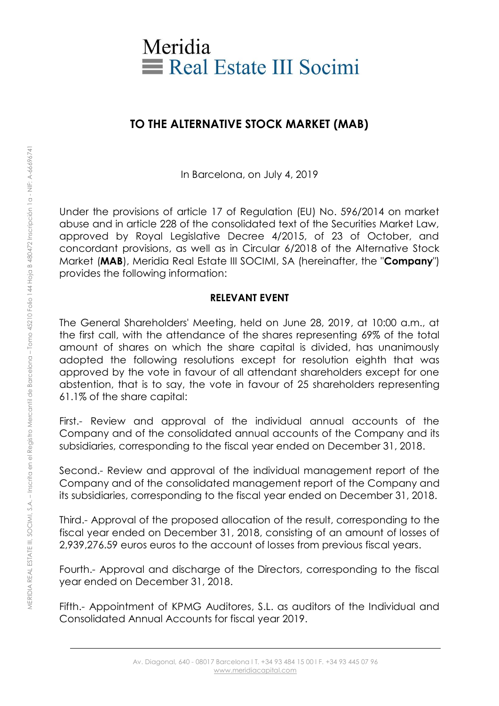

## **TO THE ALTERNATIVE STOCK MARKET (MAB)**

In Barcelona, on July 4, 2019

Under the provisions of article 17 of Regulation (EU) No. 596/2014 on market abuse and in article 228 of the consolidated text of the Securities Market Law, approved by Royal Legislative Decree 4/2015, of 23 of October, and concordant provisions, as well as in Circular 6/2018 of the Alternative Stock Market (**MAB**), Meridia Real Estate III SOCIMI, SA (hereinafter, the "**Company**") provides the following information:

## **RELEVANT EVENT**

The General Shareholders' Meeting, held on June 28, 2019, at 10:00 a.m., at the first call, with the attendance of the shares representing 69% of the total amount of shares on which the share capital is divided, has unanimously adopted the following resolutions except for resolution eighth that was approved by the vote in favour of all attendant shareholders except for one abstention, that is to say, the vote in favour of 25 shareholders representing 61.1% of the share capital:

First.- Review and approval of the individual annual accounts of the Company and of the consolidated annual accounts of the Company and its subsidiaries, corresponding to the fiscal year ended on December 31, 2018.

Second.- Review and approval of the individual management report of the Company and of the consolidated management report of the Company and its subsidiaries, corresponding to the fiscal year ended on December 31, 2018.

Third.- Approval of the proposed allocation of the result, corresponding to the fiscal year ended on December 31, 2018, consisting of an amount of losses of 2,939,276.59 euros euros to the account of losses from previous fiscal years.

Fourth.- Approval and discharge of the Directors, corresponding to the fiscal year ended on December 31, 2018.

Fifth.- Appointment of KPMG Auditores, S.L. as auditors of the Individual and Consolidated Annual Accounts for fiscal year 2019.